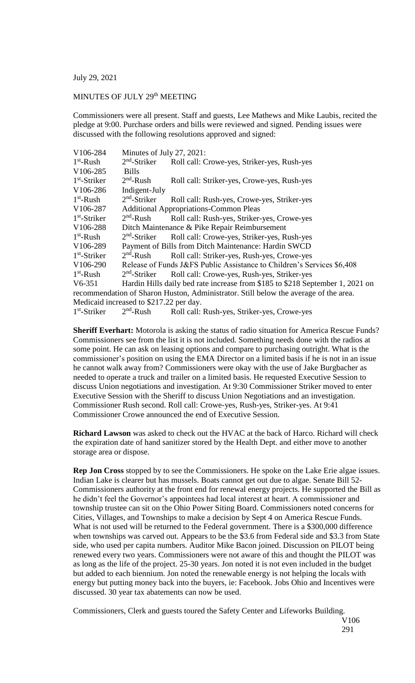July 29, 2021

## MINUTES OF JULY 29<sup>th</sup> MEETING

Commissioners were all present. Staff and guests, Lee Mathews and Mike Laubis, recited the pledge at 9:00. Purchase orders and bills were reviewed and signed. Pending issues were discussed with the following resolutions approved and signed:

| V106-284                                                                             | Minutes of July 27, 2021:                                              |                                                                               |
|--------------------------------------------------------------------------------------|------------------------------------------------------------------------|-------------------------------------------------------------------------------|
| $1st$ -Rush                                                                          | $2nd$ -Striker                                                         | Roll call: Crowe-yes, Striker-yes, Rush-yes                                   |
| V106-285                                                                             | <b>Bills</b>                                                           |                                                                               |
| $1st$ -Striker                                                                       | $2nd$ -Rush                                                            | Roll call: Striker-yes, Crowe-yes, Rush-yes                                   |
| V106-286                                                                             | Indigent-July                                                          |                                                                               |
| $1st$ -Rush                                                                          | $2nd$ -Striker                                                         | Roll call: Rush-yes, Crowe-yes, Striker-yes                                   |
| V106-287                                                                             | <b>Additional Appropriations-Common Pleas</b>                          |                                                                               |
| $1st$ -Striker                                                                       | $2nd$ -Rush                                                            | Roll call: Rush-yes, Striker-yes, Crowe-yes                                   |
| V106-288                                                                             | Ditch Maintenance & Pike Repair Reimbursement                          |                                                                               |
| $1st$ -Rush                                                                          | $2nd$ -Striker                                                         | Roll call: Crowe-yes, Striker-yes, Rush-yes                                   |
| V106-289                                                                             | Payment of Bills from Ditch Maintenance: Hardin SWCD                   |                                                                               |
| $1st$ -Striker                                                                       | $2nd$ -Rush                                                            | Roll call: Striker-yes, Rush-yes, Crowe-yes                                   |
| V106-290                                                                             | Release of Funds J&FS Public Assistance to Children's Services \$6,408 |                                                                               |
| $1st$ -Rush                                                                          | $2nd$ -Striker                                                         | Roll call: Crowe-yes, Rush-yes, Striker-yes                                   |
| $V6-351$                                                                             |                                                                        | Hardin Hills daily bed rate increase from \$185 to \$218 September 1, 2021 on |
| recommendation of Sharon Huston, Administrator. Still below the average of the area. |                                                                        |                                                                               |
| Medicaid increased to \$217.22 per day.                                              |                                                                        |                                                                               |
| $1st$ -Striker                                                                       | $2nd$ -Rush                                                            | Roll call: Rush-yes, Striker-yes, Crowe-yes                                   |

**Sheriff Everhart:** Motorola is asking the status of radio situation for America Rescue Funds? Commissioners see from the list it is not included. Something needs done with the radios at some point. He can ask on leasing options and compare to purchasing outright. What is the commissioner's position on using the EMA Director on a limited basis if he is not in an issue he cannot walk away from? Commissioners were okay with the use of Jake Burgbacher as needed to operate a truck and trailer on a limited basis. He requested Executive Session to discuss Union negotiations and investigation. At 9:30 Commissioner Striker moved to enter Executive Session with the Sheriff to discuss Union Negotiations and an investigation. Commissioner Rush second. Roll call: Crowe-yes, Rush-yes, Striker-yes. At 9:41 Commissioner Crowe announced the end of Executive Session.

**Richard Lawson** was asked to check out the HVAC at the back of Harco. Richard will check the expiration date of hand sanitizer stored by the Health Dept. and either move to another storage area or dispose.

**Rep Jon Cross** stopped by to see the Commissioners. He spoke on the Lake Erie algae issues. Indian Lake is clearer but has mussels. Boats cannot get out due to algae. Senate Bill 52- Commissioners authority at the front end for renewal energy projects. He supported the Bill as he didn't feel the Governor's appointees had local interest at heart. A commissioner and township trustee can sit on the Ohio Power Siting Board. Commissioners noted concerns for Cities, Villages, and Townships to make a decision by Sept 4 on America Rescue Funds. What is not used will be returned to the Federal government. There is a \$300,000 difference when townships was carved out. Appears to be the \$3.6 from Federal side and \$3.3 from State side, who used per capita numbers. Auditor Mike Bacon joined. Discussion on PILOT being renewed every two years. Commissioners were not aware of this and thought the PILOT was as long as the life of the project. 25-30 years. Jon noted it is not even included in the budget but added to each biennium. Jon noted the renewable energy is not helping the locals with energy but putting money back into the buyers, ie: Facebook. Jobs Ohio and Incentives were discussed. 30 year tax abatements can now be used.

Commissioners, Clerk and guests toured the Safety Center and Lifeworks Building.